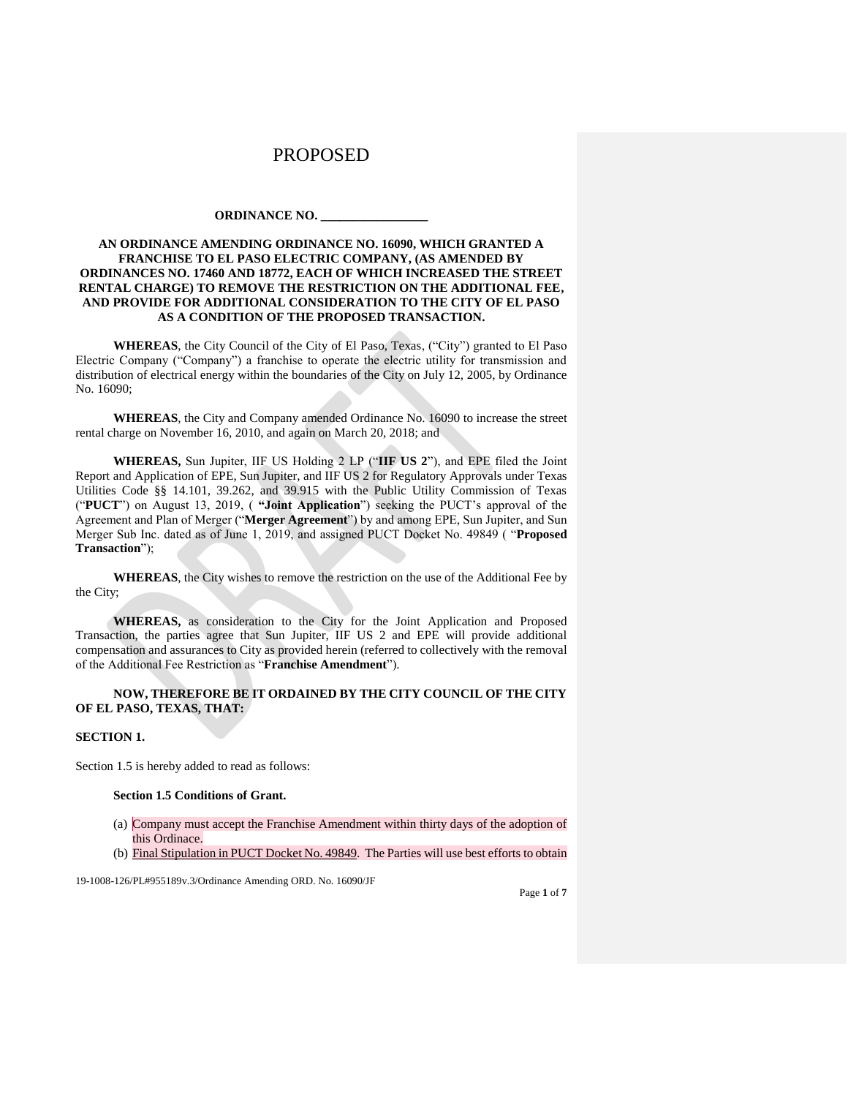#### **ORDINANCE NO. \_\_\_\_\_\_\_\_\_\_\_\_\_\_\_\_\_**

#### **AN ORDINANCE AMENDING ORDINANCE NO. 16090, WHICH GRANTED A FRANCHISE TO EL PASO ELECTRIC COMPANY, (AS AMENDED BY ORDINANCES NO. 17460 AND 18772, EACH OF WHICH INCREASED THE STREET RENTAL CHARGE) TO REMOVE THE RESTRICTION ON THE ADDITIONAL FEE, AND PROVIDE FOR ADDITIONAL CONSIDERATION TO THE CITY OF EL PASO AS A CONDITION OF THE PROPOSED TRANSACTION.**

**WHEREAS**, the City Council of the City of El Paso, Texas, ("City") granted to El Paso Electric Company ("Company") a franchise to operate the electric utility for transmission and distribution of electrical energy within the boundaries of the City on July 12, 2005, by Ordinance No. 16090;

**WHEREAS**, the City and Company amended Ordinance No. 16090 to increase the street rental charge on November 16, 2010, and again on March 20, 2018; and

**WHEREAS,** Sun Jupiter, IIF US Holding 2 LP ("**IIF US 2**"), and EPE filed the Joint Report and Application of EPE, Sun Jupiter, and IIF US 2 for Regulatory Approvals under Texas Utilities Code §§ 14.101, 39.262, and 39.915 with the Public Utility Commission of Texas ("**PUCT**") on August 13, 2019, ( **"Joint Application**") seeking the PUCT's approval of the Agreement and Plan of Merger ("**Merger Agreement**") by and among EPE, Sun Jupiter, and Sun Merger Sub Inc. dated as of June 1, 2019, and assigned PUCT Docket No. 49849 ( "**Proposed Transaction**");

**WHEREAS**, the City wishes to remove the restriction on the use of the Additional Fee by the City;

**WHEREAS,** as consideration to the City for the Joint Application and Proposed Transaction, the parties agree that Sun Jupiter, IIF US 2 and EPE will provide additional compensation and assurances to City as provided herein (referred to collectively with the removal of the Additional Fee Restriction as "**Franchise Amendment**").

#### **NOW, THEREFORE BE IT ORDAINED BY THE CITY COUNCIL OF THE CITY OF EL PASO, TEXAS, THAT:**

#### **SECTION 1.**

Section 1.5 is hereby added to read as follows:

#### **Section 1.5 Conditions of Grant.**

- (a) Company must accept the Franchise Amendment within thirty days of the adoption of this Ordinace.
- (b) Final Stipulation in PUCT Docket No. 49849. The Parties will use best efforts to obtain

19-1008-126/PL#955189v.3/Ordinance Amending ORD. No. 16090/JF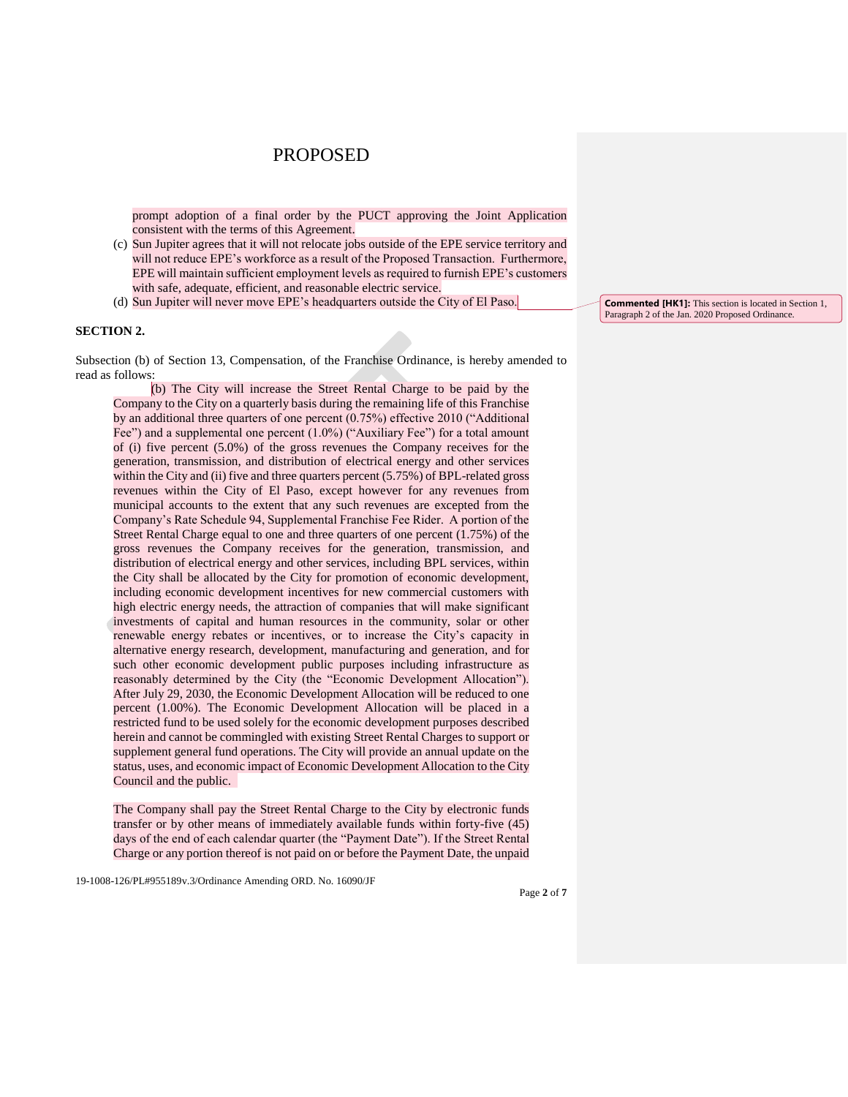prompt adoption of a final order by the PUCT approving the Joint Application consistent with the terms of this Agreement.

- (c) Sun Jupiter agrees that it will not relocate jobs outside of the EPE service territory and will not reduce EPE's workforce as a result of the Proposed Transaction. Furthermore, EPE will maintain sufficient employment levels as required to furnish EPE's customers with safe, adequate, efficient, and reasonable electric service.
- (d) Sun Jupiter will never move EPE's headquarters outside the City of El Paso.

#### **SECTION 2.**

Subsection (b) of Section 13, Compensation, of the Franchise Ordinance, is hereby amended to read as follows:

(b) The City will increase the Street Rental Charge to be paid by the Company to the City on a quarterly basis during the remaining life of this Franchise by an additional three quarters of one percent (0.75%) effective 2010 ("Additional Fee") and a supplemental one percent (1.0%) ("Auxiliary Fee") for a total amount of (i) five percent (5.0%) of the gross revenues the Company receives for the generation, transmission, and distribution of electrical energy and other services within the City and (ii) five and three quarters percent (5.75%) of BPL-related gross revenues within the City of El Paso, except however for any revenues from municipal accounts to the extent that any such revenues are excepted from the Company's Rate Schedule 94, Supplemental Franchise Fee Rider. A portion of the Street Rental Charge equal to one and three quarters of one percent (1.75%) of the gross revenues the Company receives for the generation, transmission, and distribution of electrical energy and other services, including BPL services, within the City shall be allocated by the City for promotion of economic development, including economic development incentives for new commercial customers with high electric energy needs, the attraction of companies that will make significant investments of capital and human resources in the community, solar or other renewable energy rebates or incentives, or to increase the City's capacity in alternative energy research, development, manufacturing and generation, and for such other economic development public purposes including infrastructure as reasonably determined by the City (the "Economic Development Allocation"). After July 29, 2030, the Economic Development Allocation will be reduced to one percent (1.00%). The Economic Development Allocation will be placed in a restricted fund to be used solely for the economic development purposes described herein and cannot be commingled with existing Street Rental Charges to support or supplement general fund operations. The City will provide an annual update on the status, uses, and economic impact of Economic Development Allocation to the City Council and the public.

The Company shall pay the Street Rental Charge to the City by electronic funds transfer or by other means of immediately available funds within forty-five (45) days of the end of each calendar quarter (the "Payment Date"). If the Street Rental Charge or any portion thereof is not paid on or before the Payment Date, the unpaid

19-1008-126/PL#955189v.3/Ordinance Amending ORD. No. 16090/JF

**Commented [HK1]:** This section is located in Section 1, Paragraph 2 of the Jan. 2020 Proposed Ordinance.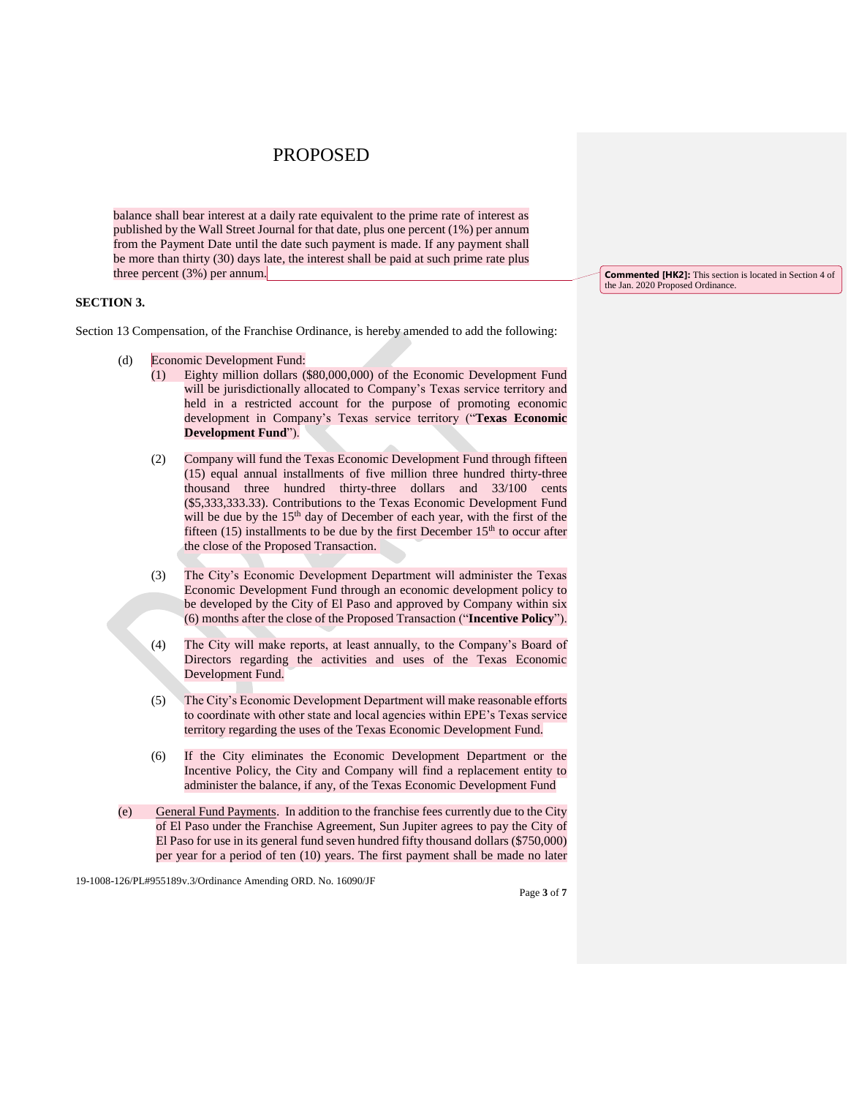balance shall bear interest at a daily rate equivalent to the prime rate of interest as published by the Wall Street Journal for that date, plus one percent (1%) per annum from the Payment Date until the date such payment is made. If any payment shall be more than thirty (30) days late, the interest shall be paid at such prime rate plus three percent (3%) per annum.

#### **SECTION 3.**

Section 13 Compensation, of the Franchise Ordinance, is hereby amended to add the following:

- (d) Economic Development Fund:
	- (1) Eighty million dollars (\$80,000,000) of the Economic Development Fund will be jurisdictionally allocated to Company's Texas service territory and held in a restricted account for the purpose of promoting economic development in Company's Texas service territory ("**Texas Economic Development Fund**").
	- (2) Company will fund the Texas Economic Development Fund through fifteen (15) equal annual installments of five million three hundred thirty-three thousand three hundred thirty-three dollars and 33/100 cents (\$5,333,333.33). Contributions to the Texas Economic Development Fund will be due by the 15<sup>th</sup> day of December of each year, with the first of the fifteen  $(15)$  installments to be due by the first December  $15<sup>th</sup>$  to occur after the close of the Proposed Transaction.
	- (3) The City's Economic Development Department will administer the Texas Economic Development Fund through an economic development policy to be developed by the City of El Paso and approved by Company within six (6) months after the close of the Proposed Transaction ("**Incentive Policy**").
	- (4) The City will make reports, at least annually, to the Company's Board of Directors regarding the activities and uses of the Texas Economic Development Fund.
	- (5) The City's Economic Development Department will make reasonable efforts to coordinate with other state and local agencies within EPE's Texas service territory regarding the uses of the Texas Economic Development Fund.
	- (6) If the City eliminates the Economic Development Department or the Incentive Policy, the City and Company will find a replacement entity to administer the balance, if any, of the Texas Economic Development Fund
- (e) General Fund Payments. In addition to the franchise fees currently due to the City of El Paso under the Franchise Agreement, Sun Jupiter agrees to pay the City of El Paso for use in its general fund seven hundred fifty thousand dollars (\$750,000) per year for a period of ten (10) years. The first payment shall be made no later

19-1008-126/PL#955189v.3/Ordinance Amending ORD. No. 16090/JF

**Commented [HK2]:** This section is located in Section 4 of the Jan. 2020 Proposed Ordinance.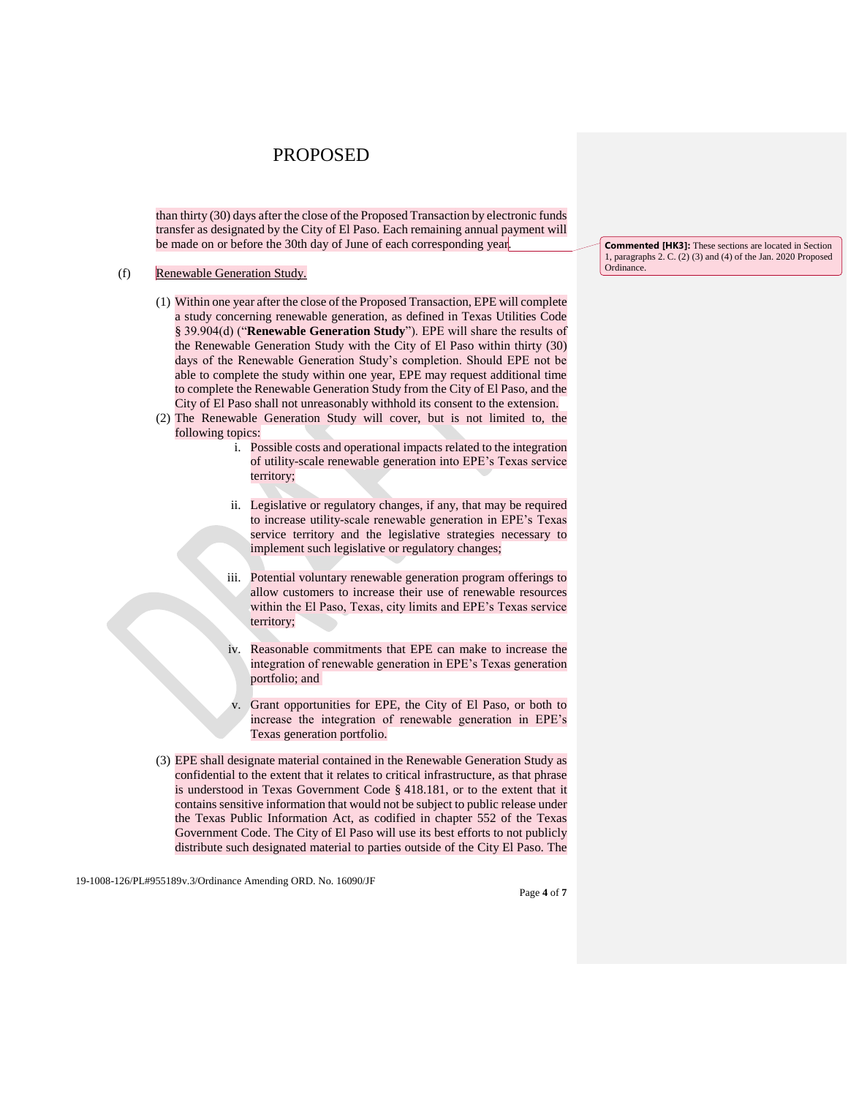than thirty (30) days after the close of the Proposed Transaction by electronic funds transfer as designated by the City of El Paso. Each remaining annual payment will be made on or before the 30th day of June of each corresponding year.

#### (f) Renewable Generation Study.

- (1) Within one year after the close of the Proposed Transaction, EPE will complete a study concerning renewable generation, as defined in Texas Utilities Code § 39.904(d) ("**Renewable Generation Study**"). EPE will share the results of the Renewable Generation Study with the City of El Paso within thirty (30) days of the Renewable Generation Study's completion. Should EPE not be able to complete the study within one year, EPE may request additional time to complete the Renewable Generation Study from the City of El Paso, and the City of El Paso shall not unreasonably withhold its consent to the extension.
- (2) The Renewable Generation Study will cover, but is not limited to, the following topics:
	- i. Possible costs and operational impacts related to the integration of utility-scale renewable generation into EPE's Texas service territory;
	- ii. Legislative or regulatory changes, if any, that may be required to increase utility-scale renewable generation in EPE's Texas service territory and the legislative strategies necessary to implement such legislative or regulatory changes;
	- iii. Potential voluntary renewable generation program offerings to allow customers to increase their use of renewable resources within the El Paso, Texas, city limits and EPE's Texas service territory;
	- Reasonable commitments that EPE can make to increase the integration of renewable generation in EPE's Texas generation portfolio; and
	- v. Grant opportunities for EPE, the City of El Paso, or both to increase the integration of renewable generation in EPE's Texas generation portfolio.
- (3) EPE shall designate material contained in the Renewable Generation Study as confidential to the extent that it relates to critical infrastructure, as that phrase is understood in Texas Government Code § 418.181, or to the extent that it contains sensitive information that would not be subject to public release under the Texas Public Information Act, as codified in chapter 552 of the Texas Government Code. The City of El Paso will use its best efforts to not publicly distribute such designated material to parties outside of the City El Paso. The

19-1008-126/PL#955189v.3/Ordinance Amending ORD. No. 16090/JF

**Commented [HK3]:** These sections are located in Section 1, paragraphs 2. C. (2) (3) and (4) of the Jan. 2020 Proposed Ordinance.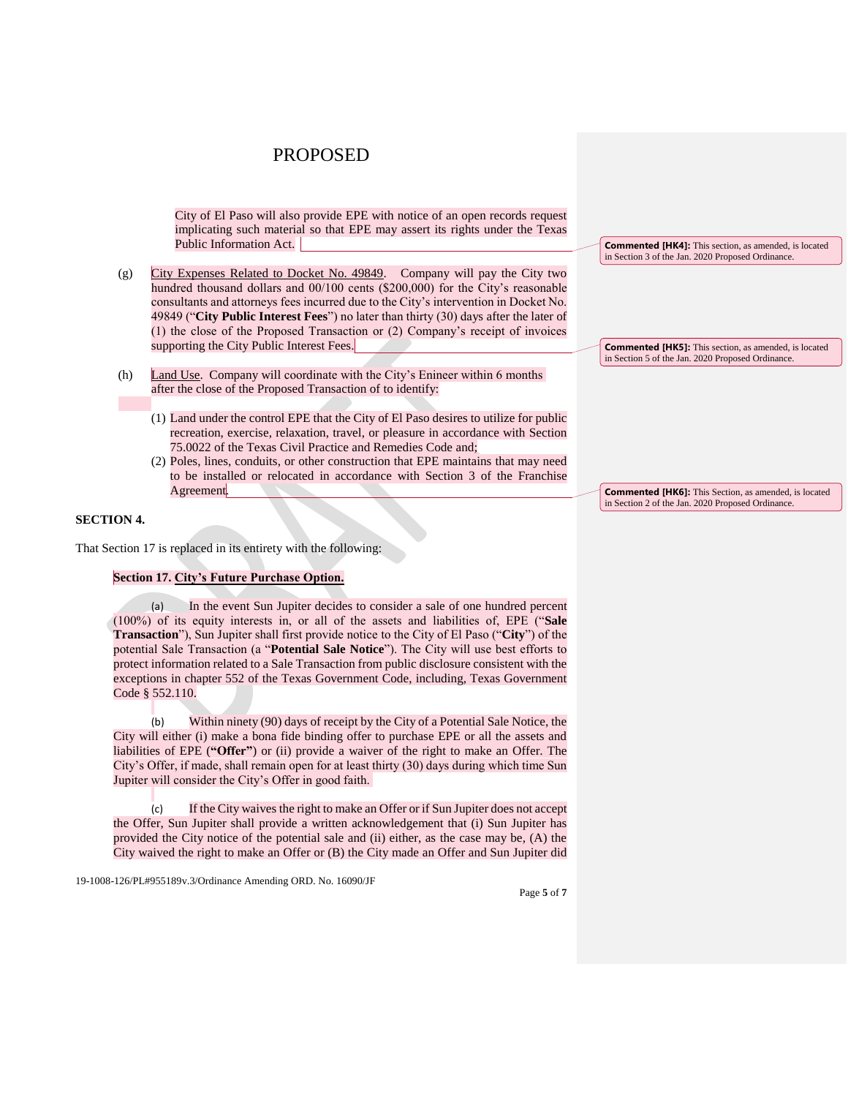City of El Paso will also provide EPE with notice of an open records request implicating such material so that EPE may assert its rights under the Texas Public Information Act.

- (g) City Expenses Related to Docket No. 49849. Company will pay the City two hundred thousand dollars and 00/100 cents (\$200,000) for the City's reasonable consultants and attorneys fees incurred due to the City's intervention in Docket No. 49849 ("**City Public Interest Fees**") no later than thirty (30) days after the later of (1) the close of the Proposed Transaction or (2) Company's receipt of invoices supporting the City Public Interest Fees.
- (h) Land Use. Company will coordinate with the City's Enineer within 6 months after the close of the Proposed Transaction of to identify:
	- (1) Land under the control EPE that the City of El Paso desires to utilize for public recreation, exercise, relaxation, travel, or pleasure in accordance with Section 75.0022 of the Texas Civil Practice and Remedies Code and;
	- (2) Poles, lines, conduits, or other construction that EPE maintains that may need to be installed or relocated in accordance with Section 3 of the Franchise Agreement.

#### **SECTION 4.**

That Section 17 is replaced in its entirety with the following:

#### **Section 17. City's Future Purchase Option.**

In the event Sun Jupiter decides to consider a sale of one hundred percent (100%) of its equity interests in, or all of the assets and liabilities of, EPE ("**Sale Transaction**"), Sun Jupiter shall first provide notice to the City of El Paso ("**City**") of the potential Sale Transaction (a "**Potential Sale Notice**"). The City will use best efforts to protect information related to a Sale Transaction from public disclosure consistent with the exceptions in chapter 552 of the Texas Government Code, including, Texas Government Code § 552.110.

(b) Within ninety (90) days of receipt by the City of a Potential Sale Notice, the City will either (i) make a bona fide binding offer to purchase EPE or all the assets and liabilities of EPE (**"Offer"**) or (ii) provide a waiver of the right to make an Offer. The City's Offer, if made, shall remain open for at least thirty (30) days during which time Sun Jupiter will consider the City's Offer in good faith.

(c) If the City waives the right to make an Offer or if Sun Jupiter does not accept the Offer, Sun Jupiter shall provide a written acknowledgement that (i) Sun Jupiter has provided the City notice of the potential sale and (ii) either, as the case may be, (A) the City waived the right to make an Offer or (B) the City made an Offer and Sun Jupiter did

19-1008-126/PL#955189v.3/Ordinance Amending ORD. No. 16090/JF

**Commented [HK4]:** This section, as amended, is located in Section 3 of the Jan. 2020 Proposed Ordinance.

**Commented [HK5]:** This section, as amended, is located in Section 5 of the Jan. 2020 Proposed Ordinance.

**Commented [HK6]:** This Section, as amended, is located in Section 2 of the Jan. 2020 Proposed Ordinance.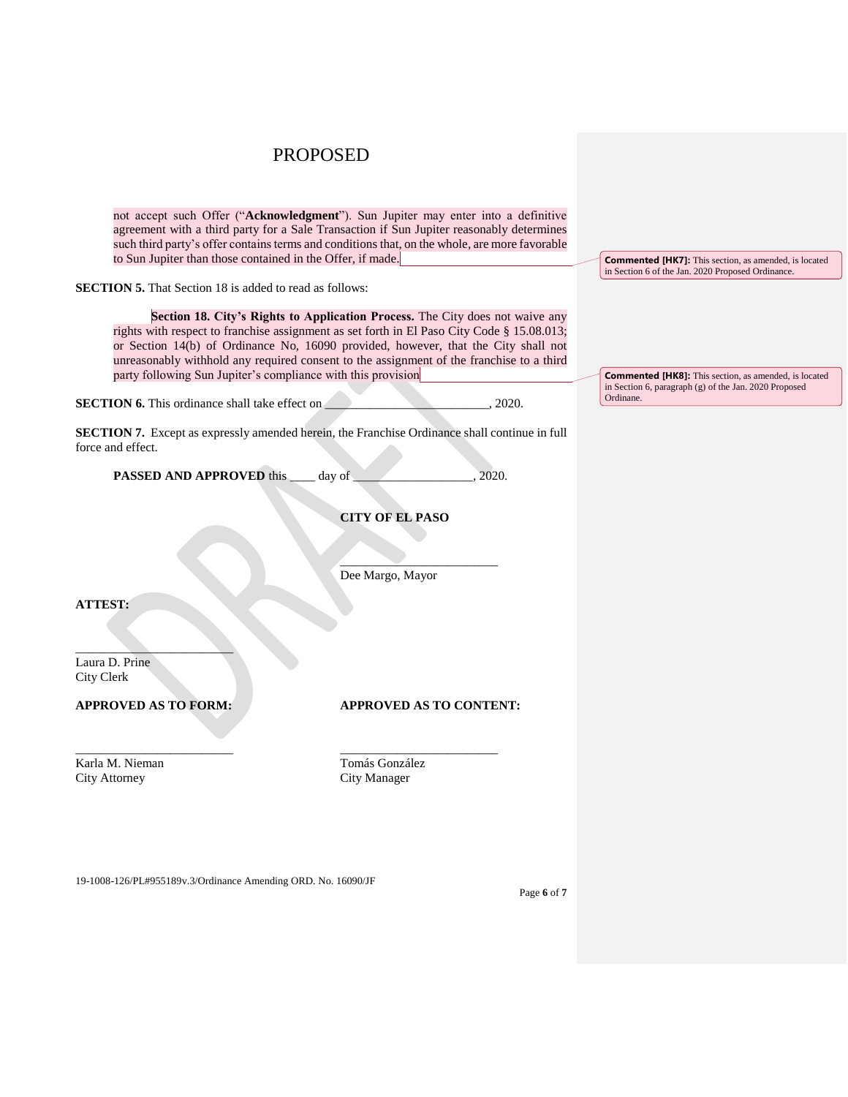| to Sun Jupiter than those contained in the Offer, if made.     | not accept such Offer ("Acknowledgment"). Sun Jupiter may enter into a definitive<br>agreement with a third party for a Sale Transaction if Sun Jupiter reasonably determines<br>such third party's offer contains terms and conditions that, on the whole, are more favorable                                                                                | <b>Commented [HK7]:</b> This section, as amended, is located                                                          |
|----------------------------------------------------------------|---------------------------------------------------------------------------------------------------------------------------------------------------------------------------------------------------------------------------------------------------------------------------------------------------------------------------------------------------------------|-----------------------------------------------------------------------------------------------------------------------|
| <b>SECTION 5.</b> That Section 18 is added to read as follows: |                                                                                                                                                                                                                                                                                                                                                               | in Section 6 of the Jan. 2020 Proposed Ordinance.                                                                     |
| party following Sun Jupiter's compliance with this provision   | Section 18. City's Rights to Application Process. The City does not waive any<br>rights with respect to franchise assignment as set forth in El Paso City Code § 15.08.013;<br>or Section 14(b) of Ordinance No, 16090 provided, however, that the City shall not<br>unreasonably withhold any required consent to the assignment of the franchise to a third | <b>Commented [HK8]:</b> This section, as amended, is located<br>in Section 6, paragraph (g) of the Jan. 2020 Proposed |
| SECTION 6. This ordinance shall take effect on                 | 2020.                                                                                                                                                                                                                                                                                                                                                         | Ordinane.                                                                                                             |
| force and effect.                                              | SECTION 7. Except as expressly amended herein, the Franchise Ordinance shall continue in full                                                                                                                                                                                                                                                                 |                                                                                                                       |
| <b>PASSED AND APPROVED this</b>                                | 2020.<br>day of                                                                                                                                                                                                                                                                                                                                               |                                                                                                                       |
|                                                                | <b>CITY OF EL PASO</b>                                                                                                                                                                                                                                                                                                                                        |                                                                                                                       |
|                                                                | Dee Margo, Mayor                                                                                                                                                                                                                                                                                                                                              |                                                                                                                       |
| <b>ATTEST:</b>                                                 |                                                                                                                                                                                                                                                                                                                                                               |                                                                                                                       |
| Laura D. Prine<br>City Clerk                                   |                                                                                                                                                                                                                                                                                                                                                               |                                                                                                                       |
| <b>APPROVED AS TO FORM:</b>                                    | <b>APPROVED AS TO CONTENT:</b>                                                                                                                                                                                                                                                                                                                                |                                                                                                                       |
| Karla M. Nieman<br><b>City Attorney</b>                        | Tomás González<br>City Manager                                                                                                                                                                                                                                                                                                                                |                                                                                                                       |
|                                                                |                                                                                                                                                                                                                                                                                                                                                               |                                                                                                                       |

19-1008-126/PL#955189v.3/Ordinance Amending ORD. No. 16090/JF